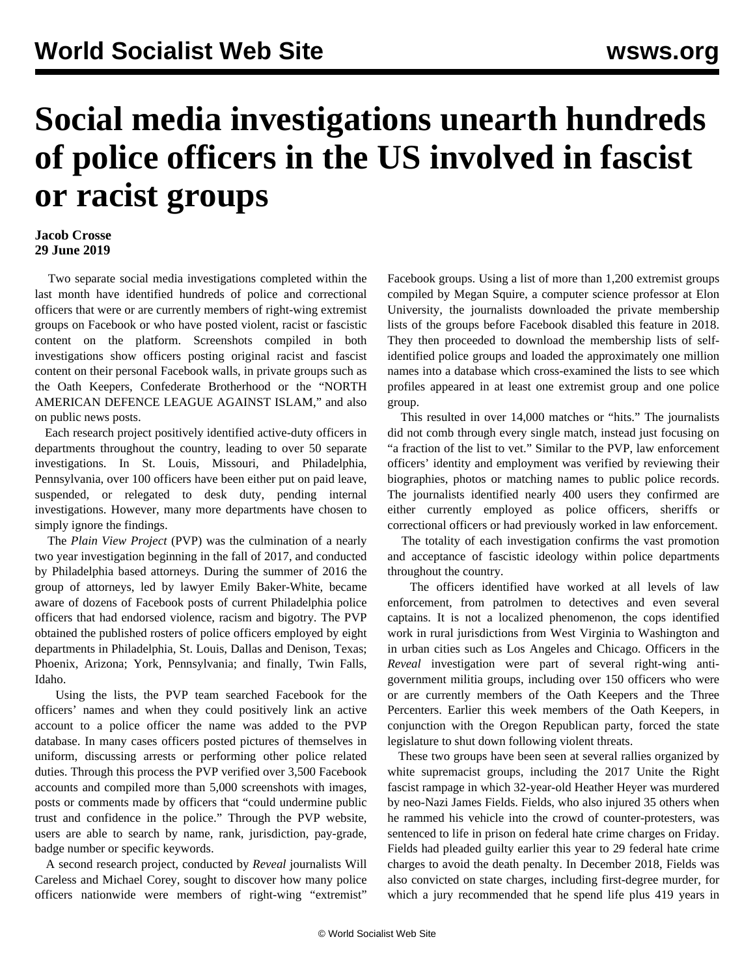## **Social media investigations unearth hundreds of police officers in the US involved in fascist or racist groups**

## **Jacob Crosse 29 June 2019**

 Two separate social media investigations completed within the last month have identified hundreds of police and correctional officers that were or are currently members of right-wing extremist groups on Facebook or who have posted violent, racist or fascistic content on the platform. Screenshots compiled in both investigations show officers posting original racist and fascist content on their personal Facebook walls, in private groups such as the Oath Keepers, Confederate Brotherhood or the "NORTH AMERICAN DEFENCE LEAGUE AGAINST ISLAM," and also on public news posts.

 Each research project positively identified active-duty officers in departments throughout the country, leading to over 50 separate investigations. In St. Louis, Missouri, and Philadelphia, Pennsylvania, over 100 officers have been either put on paid leave, suspended, or relegated to desk duty, pending internal investigations. However, many more departments have chosen to simply ignore the findings.

 The *Plain View Project* (PVP) was the culmination of a nearly two year investigation beginning in the fall of 2017, and conducted by Philadelphia based attorneys. During the summer of 2016 the group of attorneys, led by lawyer Emily Baker-White, became aware of dozens of Facebook posts of current Philadelphia police officers that had endorsed violence, racism and bigotry. The PVP obtained the published rosters of police officers employed by eight departments in Philadelphia, St. Louis, Dallas and Denison, Texas; Phoenix, Arizona; York, Pennsylvania; and finally, Twin Falls, Idaho.

 Using the lists, the PVP team searched Facebook for the officers' names and when they could positively link an active account to a police officer the name was added to the PVP database. In many cases officers posted pictures of themselves in uniform, discussing arrests or performing other police related duties. Through this process the PVP verified over 3,500 Facebook accounts and compiled more than 5,000 screenshots with images, posts or comments made by officers that "could undermine public trust and confidence in the police." Through the PVP [website](https://www.plainviewproject.org/), users are able to search by name, rank, jurisdiction, pay-grade, badge number or specific keywords.

 A second research project, conducted by *Reveal* journalists Will Careless and Michael Corey, sought to discover how many police officers nationwide were members of right-wing "extremist"

Facebook groups. Using a list of more than 1,200 extremist groups compiled by Megan Squire, a computer science professor at Elon University, the journalists downloaded the private membership lists of the groups before Facebook disabled this feature in 2018. They then proceeded to download the membership lists of selfidentified police groups and loaded the approximately one million names into a database which cross-examined the lists to see which profiles appeared in at least one extremist group and one police group.

 This resulted in over 14,000 matches or "hits." The journalists did not comb through every single match, instead just focusing on "a fraction of the list to vet." Similar to the PVP, law enforcement officers' identity and employment was verified by reviewing their biographies, photos or matching names to public police records. The journalists identified nearly 400 users they confirmed are either currently employed as police officers, sheriffs or correctional officers or had previously worked in law enforcement.

 The totality of each investigation confirms the vast promotion and acceptance of fascistic ideology within police departments throughout the country.

 The officers identified have worked at all levels of law enforcement, from patrolmen to detectives and even several captains. It is not a localized phenomenon, the cops identified work in rural jurisdictions from West Virginia to Washington and in urban cities such as Los Angeles and Chicago. Officers in the *Reveal* investigation were part of several right-wing antigovernment militia groups, including over 150 officers who were or are currently members of the Oath Keepers and the Three Percenters. Earlier this week members of the Oath Keepers, in conjunction with the Oregon Republican party, forced the state legislature to shut down following [violent threats](/en/articles/2019/06/25/oreg-j25.html).

 These two groups have been seen at several rallies organized by white supremacist groups, including the 2017 Unite the Right fascist rampage in which 32-year-old Heather Heyer was murdered by neo-Nazi James Fields. Fields, who also injured 35 others when he rammed his vehicle into the crowd of counter-protesters, was sentenced to life in prison on federal hate crime charges on Friday. Fields had pleaded guilty earlier this year to 29 federal hate crime charges to avoid the death penalty. In December 2018, Fields was also convicted on state charges, including first-degree murder, for which a jury recommended that he spend life plus 419 years in